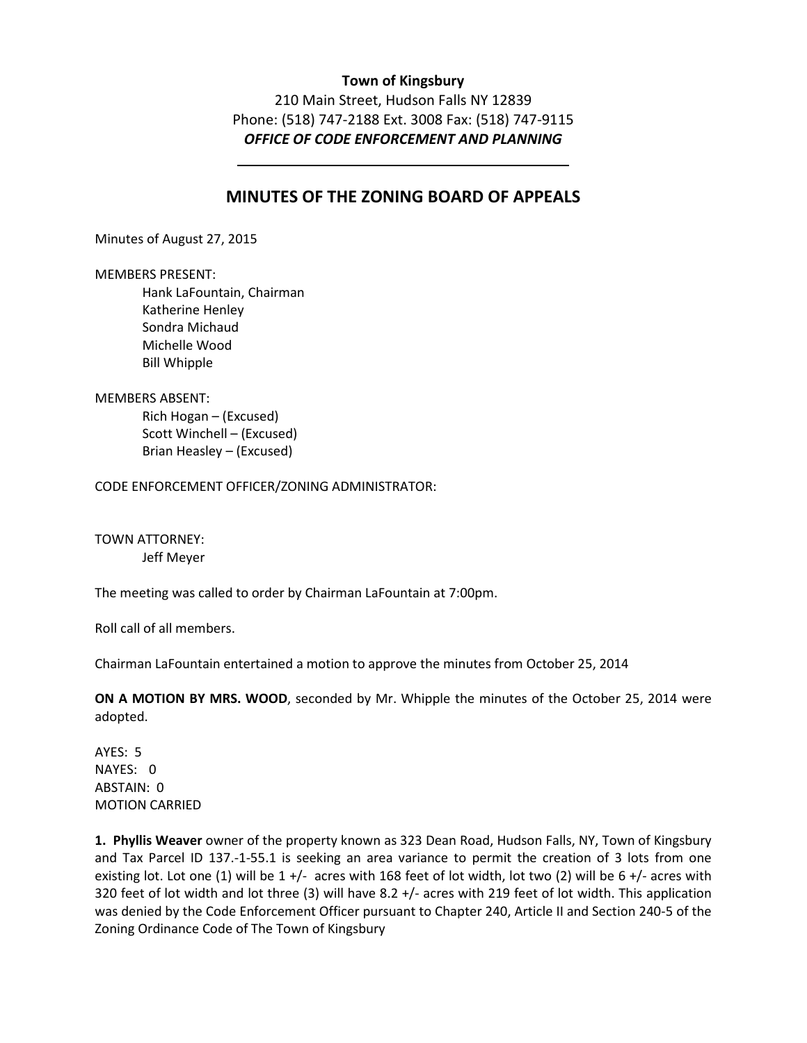## **Town of Kingsbury**

210 Main Street, Hudson Falls NY 12839 Phone: (518) 747-2188 Ext. 3008 Fax: (518) 747-9115 *OFFICE OF CODE ENFORCEMENT AND PLANNING* 

# **MINUTES OF THE ZONING BOARD OF APPEALS**

Minutes of August 27, 2015

#### MEMBERS PRESENT:

 Hank LaFountain, Chairman Katherine Henley Sondra Michaud Michelle Wood Bill Whipple

### MEMBERS ABSENT:

Rich Hogan – (Excused) Scott Winchell – (Excused) Brian Heasley – (Excused)

CODE ENFORCEMENT OFFICER/ZONING ADMINISTRATOR:

TOWN ATTORNEY: Jeff Meyer

The meeting was called to order by Chairman LaFountain at 7:00pm.

Roll call of all members.

Chairman LaFountain entertained a motion to approve the minutes from October 25, 2014

**ON A MOTION BY MRS. WOOD**, seconded by Mr. Whipple the minutes of the October 25, 2014 were adopted.

AYES: 5 NAYES: 0 ABSTAIN: 0 MOTION CARRIED

**1. Phyllis Weaver** owner of the property known as 323 Dean Road, Hudson Falls, NY, Town of Kingsbury and Tax Parcel ID 137.-1-55.1 is seeking an area variance to permit the creation of 3 lots from one existing lot. Lot one (1) will be  $1 +$ /- acres with 168 feet of lot width, lot two (2) will be  $6 +$ /- acres with 320 feet of lot width and lot three (3) will have 8.2 +/- acres with 219 feet of lot width. This application was denied by the Code Enforcement Officer pursuant to Chapter 240, Article II and Section 240-5 of the Zoning Ordinance Code of The Town of Kingsbury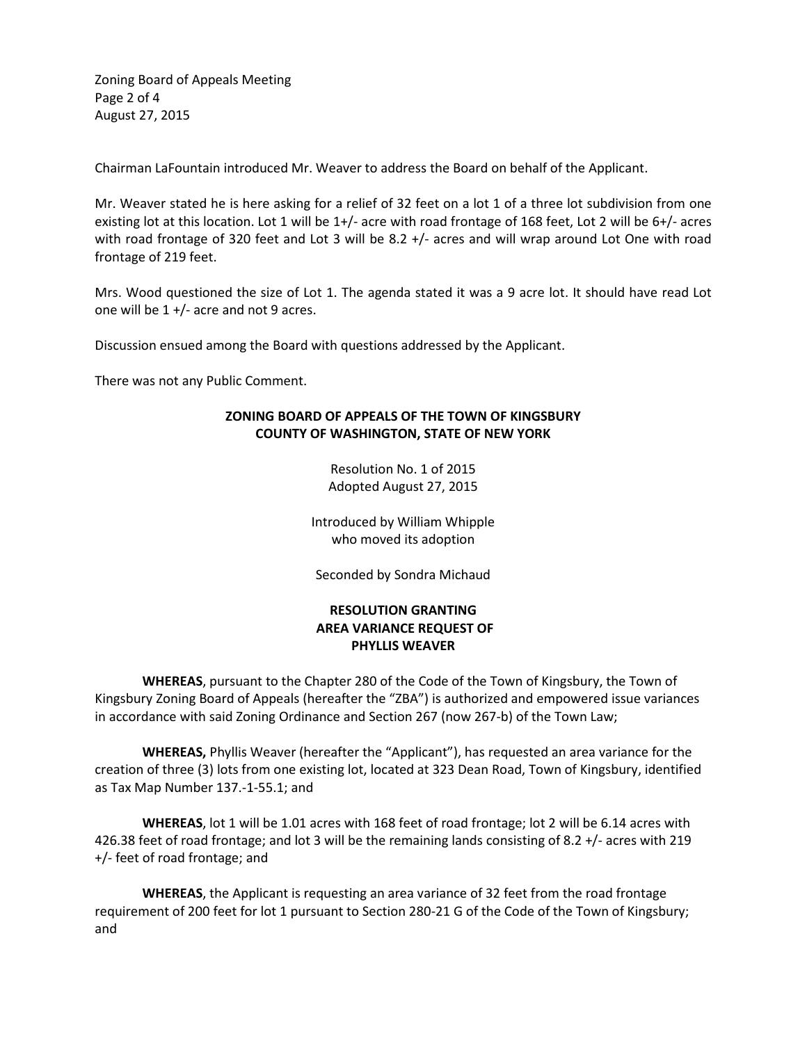Zoning Board of Appeals Meeting Page 2 of 4 August 27, 2015

Chairman LaFountain introduced Mr. Weaver to address the Board on behalf of the Applicant.

Mr. Weaver stated he is here asking for a relief of 32 feet on a lot 1 of a three lot subdivision from one existing lot at this location. Lot 1 will be 1+/- acre with road frontage of 168 feet, Lot 2 will be 6+/- acres with road frontage of 320 feet and Lot 3 will be 8.2 +/- acres and will wrap around Lot One with road frontage of 219 feet.

Mrs. Wood questioned the size of Lot 1. The agenda stated it was a 9 acre lot. It should have read Lot one will be 1 +/- acre and not 9 acres.

Discussion ensued among the Board with questions addressed by the Applicant.

There was not any Public Comment.

## **ZONING BOARD OF APPEALS OF THE TOWN OF KINGSBURY COUNTY OF WASHINGTON, STATE OF NEW YORK**

Resolution No. 1 of 2015 Adopted August 27, 2015

Introduced by William Whipple who moved its adoption

Seconded by Sondra Michaud

# **RESOLUTION GRANTING AREA VARIANCE REQUEST OF PHYLLIS WEAVER**

**WHEREAS**, pursuant to the Chapter 280 of the Code of the Town of Kingsbury, the Town of Kingsbury Zoning Board of Appeals (hereafter the "ZBA") is authorized and empowered issue variances in accordance with said Zoning Ordinance and Section 267 (now 267-b) of the Town Law;

**WHEREAS,** Phyllis Weaver (hereafter the "Applicant"), has requested an area variance for the creation of three (3) lots from one existing lot, located at 323 Dean Road, Town of Kingsbury, identified as Tax Map Number 137.-1-55.1; and

**WHEREAS**, lot 1 will be 1.01 acres with 168 feet of road frontage; lot 2 will be 6.14 acres with 426.38 feet of road frontage; and lot 3 will be the remaining lands consisting of 8.2 +/- acres with 219 +/- feet of road frontage; and

**WHEREAS**, the Applicant is requesting an area variance of 32 feet from the road frontage requirement of 200 feet for lot 1 pursuant to Section 280-21 G of the Code of the Town of Kingsbury; and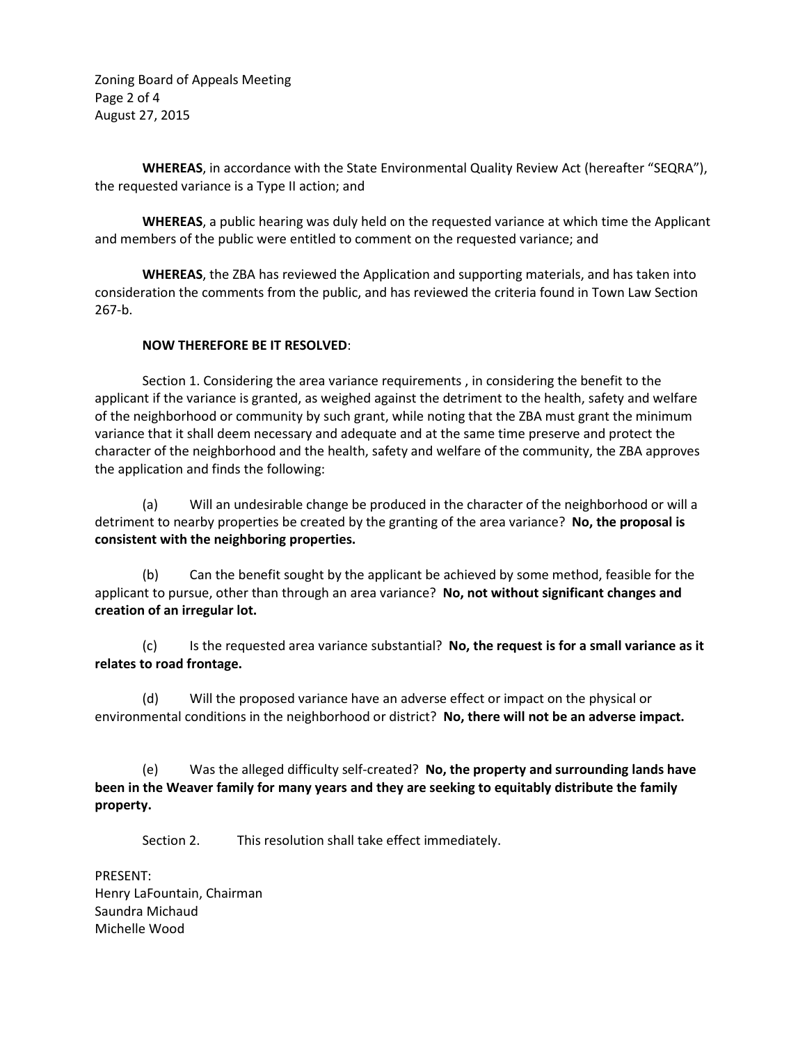Zoning Board of Appeals Meeting Page 2 of 4 August 27, 2015

**WHEREAS**, in accordance with the State Environmental Quality Review Act (hereafter "SEQRA"), the requested variance is a Type II action; and

**WHEREAS**, a public hearing was duly held on the requested variance at which time the Applicant and members of the public were entitled to comment on the requested variance; and

**WHEREAS**, the ZBA has reviewed the Application and supporting materials, and has taken into consideration the comments from the public, and has reviewed the criteria found in Town Law Section 267-b.

### **NOW THEREFORE BE IT RESOLVED**:

 Section 1. Considering the area variance requirements , in considering the benefit to the applicant if the variance is granted, as weighed against the detriment to the health, safety and welfare of the neighborhood or community by such grant, while noting that the ZBA must grant the minimum variance that it shall deem necessary and adequate and at the same time preserve and protect the character of the neighborhood and the health, safety and welfare of the community, the ZBA approves the application and finds the following:

 (a) Will an undesirable change be produced in the character of the neighborhood or will a detriment to nearby properties be created by the granting of the area variance? **No, the proposal is consistent with the neighboring properties.** 

 (b) Can the benefit sought by the applicant be achieved by some method, feasible for the applicant to pursue, other than through an area variance? **No, not without significant changes and creation of an irregular lot.**

 (c) Is the requested area variance substantial? **No, the request is for a small variance as it relates to road frontage.**

 (d) Will the proposed variance have an adverse effect or impact on the physical or environmental conditions in the neighborhood or district? **No, there will not be an adverse impact.**

(e) Was the alleged difficulty self-created? **No, the property and surrounding lands have been in the Weaver family for many years and they are seeking to equitably distribute the family property.** 

Section 2. This resolution shall take effect immediately.

PRESENT: Henry LaFountain, Chairman Saundra Michaud Michelle Wood